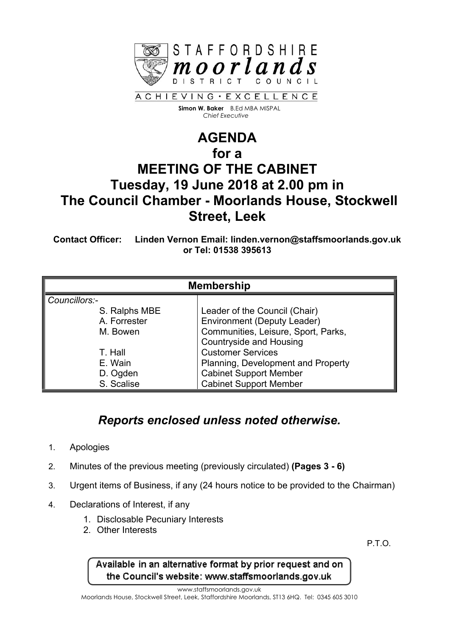

 **Simon W. Baker** B.Ed MBA MISPAL  *Chief Executive*

## **AGENDA for a MEETING OF THE CABINET Tuesday, 19 June 2018 at 2.00 pm in The Council Chamber - Moorlands House, Stockwell Street, Leek**

**Contact Officer: Linden Vernon Email: linden.vernon@staffsmoorlands.gov.uk or Tel: 01538 395613**

| <b>Membership</b> |                                     |
|-------------------|-------------------------------------|
| Councillors:-     |                                     |
| S. Ralphs MBE     | Leader of the Council (Chair)       |
| A. Forrester      | <b>Environment (Deputy Leader)</b>  |
| M. Bowen          | Communities, Leisure, Sport, Parks, |
|                   | <b>Countryside and Housing</b>      |
| T. Hall           | <b>Customer Services</b>            |
| E. Wain           | Planning, Development and Property  |
| D. Ogden          | <b>Cabinet Support Member</b>       |
| S. Scalise        | <b>Cabinet Support Member</b>       |

## *Reports enclosed unless noted otherwise.*

- 1. Apologies
- 2. Minutes of the previous meeting (previously circulated) **(Pages 3 - 6)**
- 3. Urgent items of Business, if any (24 hours notice to be provided to the Chairman)
- 4. Declarations of Interest, if any
	- 1. Disclosable Pecuniary Interests
	- 2. Other Interests

P.T.O.

Available in an alternative format by prior request and on the Council's website: www.staffsmoorlands.gov.uk

www.staffsmoorlands.gov.uk

Moorlands House, Stockwell Street, Leek, Staffordshire Moorlands, ST13 6HQ. Tel: 0345 605 3010